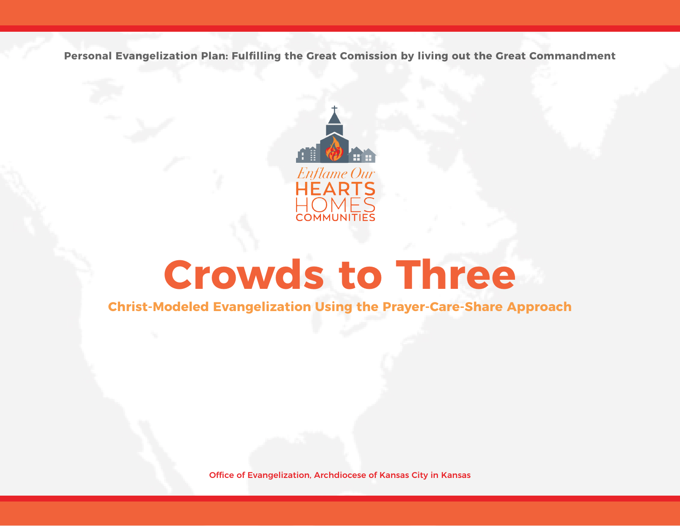**Personal Evangelization Plan: Fulfilling the Great Comission by living out the Great Commandment**



# **Crowds to Three**

**Christ-Modeled Evangelization Using the Prayer-Care-Share Approach**

Office of Evangelization, Archdiocese of Kansas City in Kansas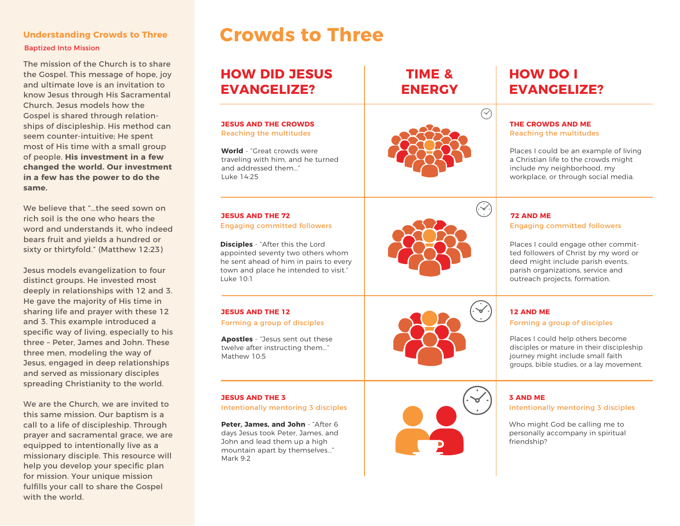## Baptized Into Mission

The mission of the Church is to share the Gospel. This message of hope, joy and ultimate love is an invitation to know Jesus through His Sacramental Church. Jesus models how the Gospel is shared through relationships of discipleship. His method can seem counter-intuitive; He spent most of His time with a small group of people. **His investment in a few changed the world. Our investment in a few has the power to do the same.** 

We believe that "…the seed sown on rich soil is the one who hears the word and understands it, who indeed bears fruit and yields a hundred or sixty or thirtyfold." (Matthew 12:23)

Jesus models evangelization to four distinct groups. He invested most deeply in relationships with 12 and 3. He gave the majority of His time in sharing life and prayer with these 12 and 3. This example introduced a specific way of living, especially to his three – Peter, James and John. These three men, modeling the way of Jesus, engaged in deep relationships and served as missionary disciples spreading Christianity to the world.

We are the Church, we are invited to this same mission. Our baptism is a call to a life of discipleship. Through prayer and sacramental grace, we are equipped to intentionally live as a missionary disciple. This resource will help you develop your specific plan for mission. Your unique mission fulfills your call to share the Gospel with the world.

### **Understanding Crowds to Three Crowds to Three**

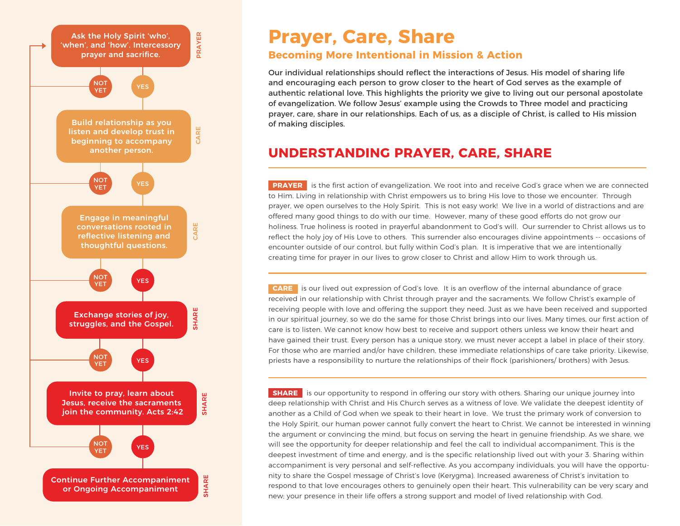

### **Prayer, Care, Share**

### **Becoming More Intentional in Mission & Action**

Our individual relationships should reflect the interactions of Jesus. His model of sharing life and encouraging each person to grow closer to the heart of God serves as the example of authentic relational love. This highlights the priority we give to living out our personal apostolate of evangelization. We follow Jesus' example using the Crowds to Three model and practicing prayer, care, share in our relationships. Each of us, as a disciple of Christ, is called to His mission of making disciples.

### **UNDERSTANDING PRAYER, CARE, SHARE**

**PRAYER** is the first action of evangelization. We root into and receive God's grace when we are connected to Him. Living in relationship with Christ empowers us to bring His love to those we encounter. Through prayer, we open ourselves to the Holy Spirit. This is not easy work! We live in a world of distractions and are offered many good things to do with our time. However, many of these good efforts do not grow our holiness. True holiness is rooted in prayerful abandonment to God's will. Our surrender to Christ allows us to reflect the holy joy of His Love to others. This surrender also encourages divine appointments -- occasions of encounter outside of our control, but fully within God's plan. It is imperative that we are intentionally creating time for prayer in our lives to grow closer to Christ and allow Him to work through us.

 **CARE** is our lived out expression of God's love. It is an overflow of the internal abundance of grace received in our relationship with Christ through prayer and the sacraments. We follow Christ's example of receiving people with love and offering the support they need. Just as we have been received and supported in our spiritual journey, so we do the same for those Christ brings into our lives. Many times, our first action of care is to listen. We cannot know how best to receive and support others unless we know their heart and have gained their trust. Every person has a unique story, we must never accept a label in place of their story. For those who are married and/or have children, these immediate relationships of care take priority. Likewise, priests have a responsibility to nurture the relationships of their flock (parishioners/ brothers) with Jesus.

**SHARE** is our opportunity to respond in offering our story with others. Sharing our unique journey into deep relationship with Christ and His Church serves as a witness of love. We validate the deepest identity of another as a Child of God when we speak to their heart in love. We trust the primary work of conversion to the Holy Spirit, our human power cannot fully convert the heart to Christ. We cannot be interested in winning the argument or convincing the mind, but focus on serving the heart in genuine friendship. As we share, we will see the opportunity for deeper relationship and feel the call to individual accompaniment. This is the deepest investment of time and energy, and is the specific relationship lived out with your 3. Sharing within accompaniment is very personal and self-reflective. As you accompany individuals, you will have the opportunity to share the Gospel message of Christ's love (Kerygma). Increased awareness of Christ's invitation to respond to that love encourages others to genuinely open their heart. This vulnerability can be very scary and new; your presence in their life offers a strong support and model of lived relationship with God.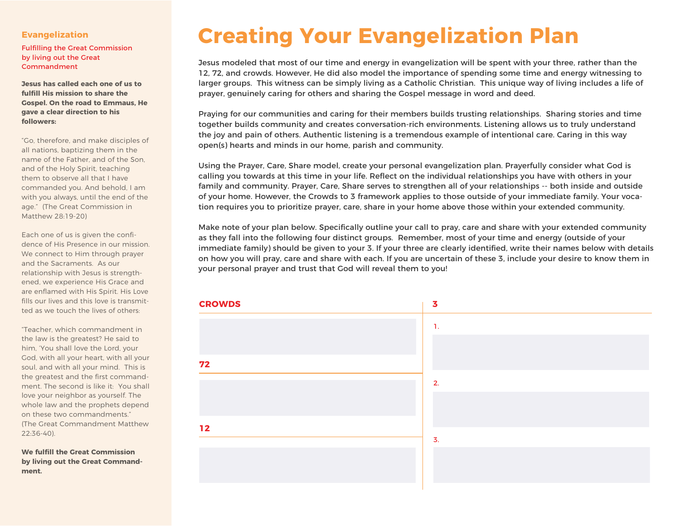#### **Evangelization**

Fulfilling the Great Commission by living out the Great Commandment

**Jesus has called each one of us to fulfill His mission to share the Gospel. On the road to Emmaus, He gave a clear direction to his followers:**

"Go, therefore, and make disciples of all nations, baptizing them in the name of the Father, and of the Son, and of the Holy Spirit, teaching them to observe all that I have commanded you. And behold, I am with you always, until the end of the age." (The Great Commission in Matthew 28:19-20)

Each one of us is given the confidence of His Presence in our mission. We connect to Him through prayer and the Sacraments. As our relationship with Jesus is strengthened, we experience His Grace and are enflamed with His Spirit. His Love fills our lives and this love is transmitted as we touch the lives of others:

"Teacher, which commandment in the law is the greatest? He said to him, 'You shall love the Lord, your God, with all your heart, with all your soul, and with all your mind. This is the greatest and the first commandment. The second is like it: You shall love your neighbor as yourself. The whole law and the prophets depend on these two commandments." (The Great Commandment Matthew 22:36-40).

**We fulfill the Great Commission by living out the Great Commandment.**

# **Creating Your Evangelization Plan**

Jesus modeled that most of our time and energy in evangelization will be spent with your three, rather than the 12, 72, and crowds. However, He did also model the importance of spending some time and energy witnessing to larger groups. This witness can be simply living as a Catholic Christian. This unique way of living includes a life of prayer, genuinely caring for others and sharing the Gospel message in word and deed.

Praying for our communities and caring for their members builds trusting relationships. Sharing stories and time together builds community and creates conversation-rich environments. Listening allows us to truly understand the joy and pain of others. Authentic listening is a tremendous example of intentional care. Caring in this way open(s) hearts and minds in our home, parish and community.

Using the Prayer, Care, Share model, create your personal evangelization plan. Prayerfully consider what God is calling you towards at this time in your life. Reflect on the individual relationships you have with others in your family and community. Prayer, Care, Share serves to strengthen all of your relationships -- both inside and outside of your home. However, the Crowds to 3 framework applies to those outside of your immediate family. Your vocation requires you to prioritize prayer, care, share in your home above those within your extended community.

Make note of your plan below. Specifically outline your call to pray, care and share with your extended community as they fall into the following four distinct groups. Remember, most of your time and energy (outside of your immediate family) should be given to your 3. If your three are clearly identified, write their names below with details on how you will pray, care and share with each. If you are uncertain of these 3, include your desire to know them in your personal prayer and trust that God will reveal them to you!